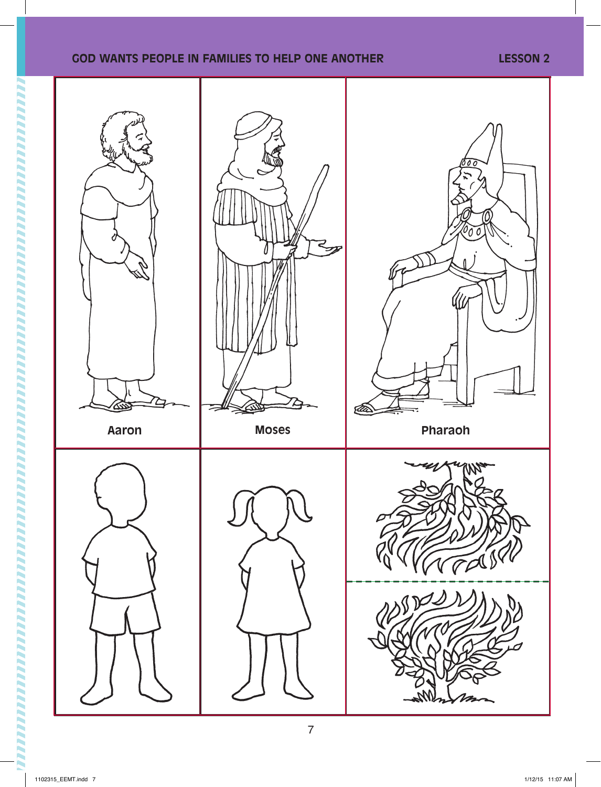## **GOD WANTS PEOPLE IN FAMILIES TO HELP ONE ANOTHER LESSON 2**